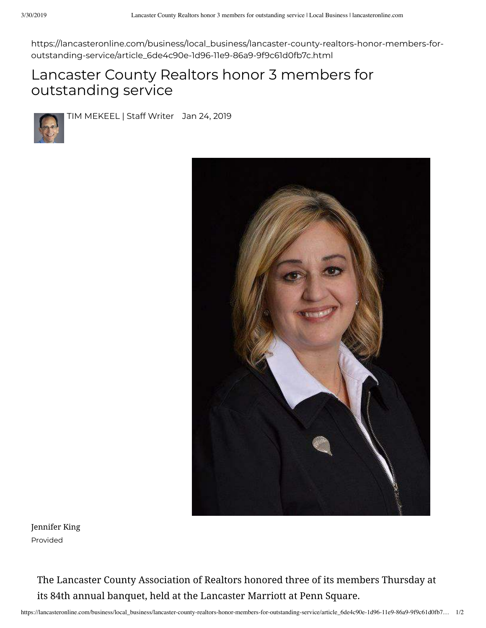https://lancasteronline.com/business/local\_business/lancaster-county-realtors-honor-members-foroutstanding-service/article\_6de4c90e-1d96-11e9-86a9-9f9c61d0fb7c.html

## Lancaster County Realtors honor 3 members for outstanding service



TIM MEKEEL | Staff Writer Jan 24, 2019



Jennifer King Provided

> The Lancaster County Association of Realtors honored three of its members Thursday at its 84th annual banquet, held at the Lancaster Marriott at Penn Square.